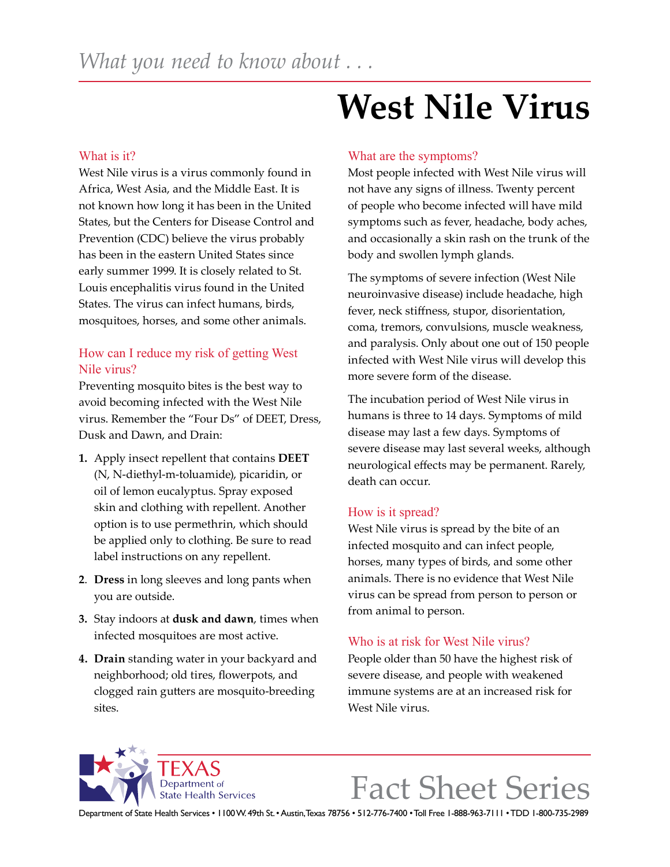## What is it?

West Nile virus is a virus commonly found in Africa, West Asia, and the Middle East. It is not known how long it has been in the United States, but the Centers for Disease Control and Prevention (CDC) believe the virus probably has been in the eastern United States since early summer 1999. It is closely related to St. Louis encephalitis virus found in the United States. The virus can infect humans, birds, mosquitoes, horses, and some other animals.

# How can I reduce my risk of getting West Nile virus?

Preventing mosquito bites is the best way to avoid becoming infected with the West Nile virus. Remember the "Four Ds" of DEET, Dress, Dusk and Dawn, and Drain:

- **1.** Apply insect repellent that contains **DEET**  (N, N-diethyl-m-toluamide), picaridin, or oil of lemon eucalyptus. Spray exposed skin and clothing with repellent. Another option is to use permethrin, which should be applied only to clothing. Be sure to read label instructions on any repellent.
- **2**. **Dress** in long sleeves and long pants when you are outside.
- **3.** Stay indoors at **dusk and dawn**, times when infected mosquitoes are most active.
- **4. Drain** standing water in your backyard and neighborhood; old tires, flowerpots, and clogged rain gutters are mosquito-breeding sites.

# **West Nile Virus**

#### What are the symptoms?

Most people infected with West Nile virus will not have any signs of illness. Twenty percent of people who become infected will have mild symptoms such as fever, headache, body aches, and occasionally a skin rash on the trunk of the body and swollen lymph glands.

The symptoms of severe infection (West Nile neuroinvasive disease) include headache, high fever, neck stiffness, stupor, disorientation, coma, tremors, convulsions, muscle weakness, and paralysis. Only about one out of 150 people infected with West Nile virus will develop this more severe form of the disease.

The incubation period of West Nile virus in humans is three to 14 days. Symptoms of mild disease may last a few days. Symptoms of severe disease may last several weeks, although neurological effects may be permanent. Rarely, death can occur.

#### How is it spread?

West Nile virus is spread by the bite of an infected mosquito and can infect people, horses, many types of birds, and some other animals. There is no evidence that West Nile virus can be spread from person to person or from animal to person.

#### Who is at risk for West Nile virus?

People older than 50 have the highest risk of severe disease, and people with weakened immune systems are at an increased risk for West Nile virus.

**State Health Services** 

Fact Sheet Series

Department of State Health Services • 1100 W. 49th St. • Austin, Texas 78756 • 512-776-7400 • Toll Free 1-888-963-7111 • TDD 1-800-735-2989